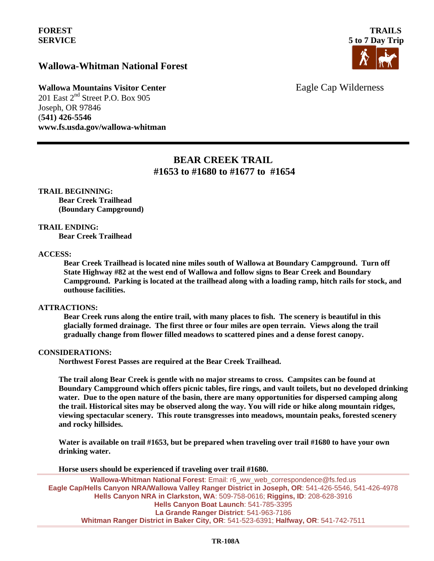## **Wallowa-Whitman National Forest**



**Wallowa Mountains Visitor Center** Eagle Cap Wilderness

201 East 2<sup>nd</sup> Street P.O. Box 905 Joseph, OR 97846 (**541) 426-5546 www.fs.usda.gov/wallowa-whitman** 

# **BEAR CREEK TRAIL #1653 to #1680 to #1677 to #1654**

**TRAIL BEGINNING: Bear Creek Trailhead (Boundary Campground)**

**TRAIL ENDING:**

**Bear Creek Trailhead** 

#### **ACCESS:**

**Bear Creek Trailhead is located nine miles south of Wallowa at Boundary Campground. Turn off State Highway #82 at the west end of Wallowa and follow signs to Bear Creek and Boundary Campground. Parking is located at the trailhead along with a loading ramp, hitch rails for stock, and outhouse facilities.**

### **ATTRACTIONS:**

**Bear Creek runs along the entire trail, with many places to fish. The scenery is beautiful in this glacially formed drainage. The first three or four miles are open terrain. Views along the trail gradually change from flower filled meadows to scattered pines and a dense forest canopy.** 

### **CONSIDERATIONS:**

**Northwest Forest Passes are required at the Bear Creek Trailhead.**

**The trail along Bear Creek is gentle with no major streams to cross. Campsites can be found at Boundary Campground which offers picnic tables, fire rings, and vault toilets, but no developed drinking water. Due to the open nature of the basin, there are many opportunities for dispersed camping along the trail. Historical sites may be observed along the way. You will ride or hike along mountain ridges, viewing spectacular scenery. This route transgresses into meadows, mountain peaks, forested scenery and rocky hillsides.**

**Water is available on trail #1653, but be prepared when traveling over trail #1680 to have your own drinking water.**

**Horse users should be experienced if traveling over trail #1680.**

**Wallowa-Whitman National Forest**: Email: r6\_ww\_web\_correspondence@fs.fed.us **Eagle Cap/Hells Canyon NRA/Wallowa Valley Ranger District in Joseph, OR**: 541-426-5546, 541-426-4978 **Hells Canyon NRA in Clarkston, WA**: 509-758-0616; **Riggins, ID**: 208-628-3916 **Hells Canyon Boat Launch**: 541-785-3395 **La Grande Ranger District**: 541-963-7186 **Whitman Ranger District in Baker City, OR**: 541-523-6391; **Halfway, OR**: 541-742-7511